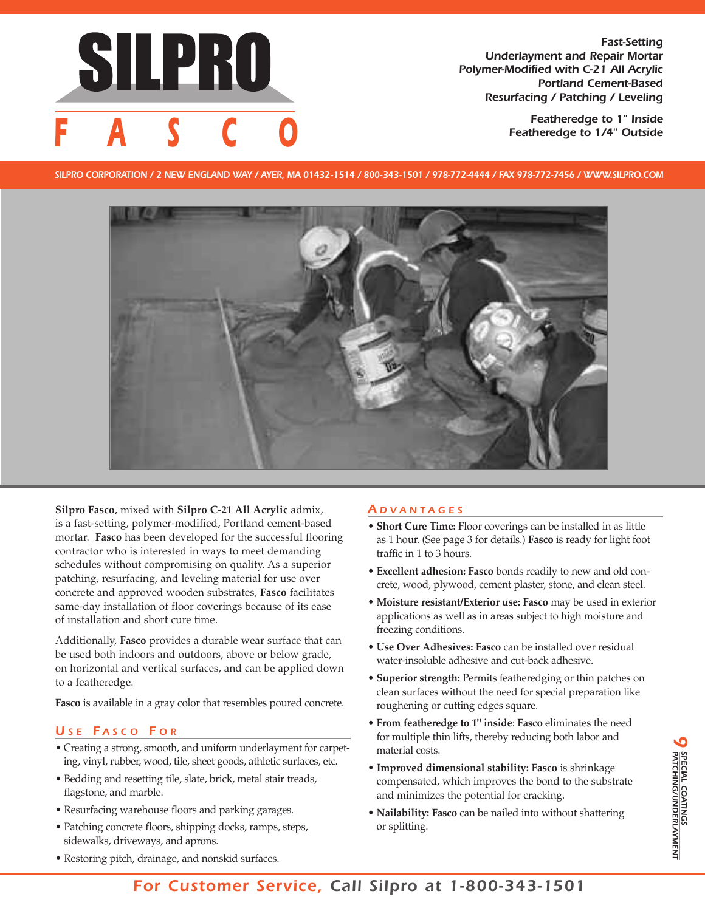

*Fast-Setting Underlayment and Repair Mortar Polymer-Modified with C-21 All Acrylic Portland Cement-Based Resurfacing / Patching / Leveling*

> *Featheredge to 1" Inside*  $F$  *Featheredge* to 1/4" Outside

SILPRO CORPORATION / 2 NEW ENGLAND WAY / AYER, MA 01432-1514 / 800-343-1501 / 978-772-4444 / FAX 978-772-7456 / WWW.SILPRO.COM



**Silpro Fasco**, mixed with **Silpro C-21 All Acrylic** admix, is a fast-setting, polymer-modified, Portland cement-based mortar. **Fasco** has been developed for the successful flooring contractor who is interested in ways to meet demanding schedules without compromising on quality. As a superior patching, resurfacing, and leveling material for use over concrete and approved wooden substrates, **Fasco** facilitates same-day installation of floor coverings because of its ease of installation and short cure time.

Additionally, **Fasco** provides a durable wear surface that can be used both indoors and outdoors, above or below grade, on horizontal and vertical surfaces, and can be applied down to a featheredge.

**Fasco** is available in a gray color that resembles poured concrete.

# *U S E F A S C O F O R*

- Creating a strong, smooth, and uniform underlayment for carpeting, vinyl, rubber, wood, tile, sheet goods, athletic surfaces, etc.
- Bedding and resetting tile, slate, brick, metal stair treads, flagstone, and marble.
- Resurfacing warehouse floors and parking garages.
- Patching concrete floors, shipping docks, ramps, steps, sidewalks, driveways, and aprons.

### *A D V A N T A G E S*

- **Short Cure Time:** Floor coverings can be installed in as little as 1 hour. (See page 3 for details.) **Fasco** is ready for light foot traffic in 1 to 3 hours.
- **Excellent adhesion: Fasco** bonds readily to new and old concrete, wood, plywood, cement plaster, stone, and clean steel.
- **Moisture resistant/Exterior use: Fasco** may be used in exterior applications as well as in areas subject to high moisture and freezing conditions.
- **Use Over Adhesives: Fasco** can be installed over residual water-insoluble adhesive and cut-back adhesive.
- **Superior strength:** Permits featheredging or thin patches on clean surfaces without the need for special preparation like roughening or cutting edges square.
- **From featheredge to 1" inside**: **Fasco** eliminates the need for multiple thin lifts, thereby reducing both labor and material costs.
- **• Improved dimensional stability: Fasco** is shrinkage compensated, which improves the bond to the substrate and minimizes the potential for cracking.
- **Nailability: Fasco** can be nailed into without shattering or splitting.

#### • Restoring pitch, drainage, and nonskid surfaces.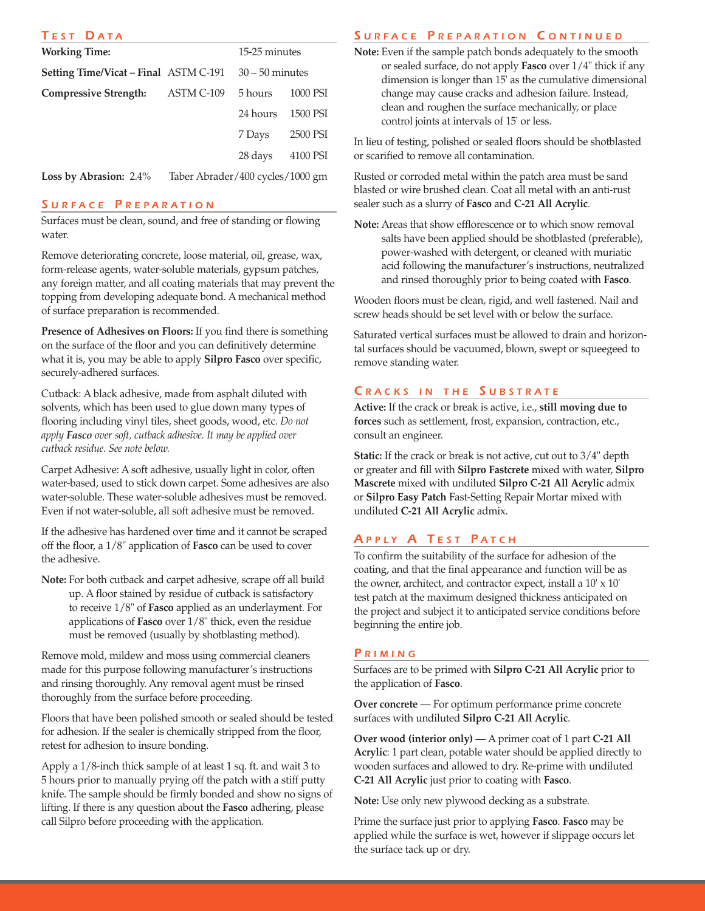| TEST DATA                                    |            |                   |          |
|----------------------------------------------|------------|-------------------|----------|
| <b>Working Time:</b>                         |            | 15-25 minutes     |          |
| <b>Setting Time/Vicat – Final ASTM C-191</b> |            | $30 - 50$ minutes |          |
| <b>Compressive Strength:</b>                 | ASTM C-109 | 5 hours           | 1000 PSI |
|                                              |            | 24 hours          | 1500 PSI |
|                                              |            | 7 Days            | 2500 PSI |
|                                              |            | 28 days           | 4100 PSI |
|                                              |            |                   |          |

**Loss by Abrasion:** 2.4% Taber Abrader/400 cycles/1000 gm

#### *S U R F A C E P R E P A R A T I O N*

Surfaces must be clean, sound, and free of standing or flowing water.

Remove deteriorating concrete, loose material, oil, grease, wax, form-release agents, water-soluble materials, gypsum patches, any foreign matter, and all coating materials that may prevent the topping from developing adequate bond. A mechanical method of surface preparation is recommended.

**Presence of Adhesives on Floors:** If you find there is something on the surface of the floor and you can definitively determine what it is, you may be able to apply **Silpro Fasco** over specific, securely-adhered surfaces.

Cutback: A black adhesive, made from asphalt diluted with solvents, which has been used to glue down many types of flooring including vinyl tiles, sheet goods, wood, etc. *Do not apply Fasco over soft, cutback adhesive. It may be applied over cutback residue. See note below.*

Carpet Adhesive: A soft adhesive, usually light in color, often water-based, used to stick down carpet. Some adhesives are also water-soluble. These water-soluble adhesives must be removed. Even if not water-soluble, all soft adhesive must be removed.

If the adhesive has hardened over time and it cannot be scraped off the floor, a 1/8" application of **Fasco** can be used to cover the adhesive.

**Note:** For both cutback and carpet adhesive, scrape off all build up. A floor stained by residue of cutback is satisfactory to receive 1/8" of **Fasco** applied as an underlayment. For applications of **Fasco** over 1/8" thick, even the residue must be removed (usually by shotblasting method).

Remove mold, mildew and moss using commercial cleaners made for this purpose following manufacturer's instructions and rinsing thoroughly. Any removal agent must be rinsed thoroughly from the surface before proceeding.

Floors that have been polished smooth or sealed should be tested for adhesion. If the sealer is chemically stripped from the floor, retest for adhesion to insure bonding.

Apply a 1/8-inch thick sample of at least 1 sq. ft. and wait 3 to 5 hours prior to manually prying off the patch with a stiff putty knife. The sample should be firmly bonded and show no signs of lifting. If there is any question about the **Fasco** adhering, please call Silpro before proceeding with the application.

#### **SURFACE PREPARATION CONTINUED**

**Note:** Even if the sample patch bonds adequately to the smooth or sealed surface, do not apply **Fasco** over 1/4" thick if any dimension is longer than 15' as the cumulative dimensional change may cause cracks and adhesion failure. Instead, clean and roughen the surface mechanically, or place control joints at intervals of 15' or less.

In lieu of testing, polished or sealed floors should be shotblasted or scarified to remove all contamination.

Rusted or corroded metal within the patch area must be sand blasted or wire brushed clean. Coat all metal with an anti-rust sealer such as a slurry of **Fasco** and **C-21 All Acrylic**.

**Note:** Areas that show efflorescence or to which snow removal salts have been applied should be shotblasted (preferable), power-washed with detergent, or cleaned with muriatic acid following the manufacturer's instructions, neutralized and rinsed thoroughly prior to being coated with **Fasco**.

Wooden floors must be clean, rigid, and well fastened. Nail and screw heads should be set level with or below the surface.

Saturated vertical surfaces must be allowed to drain and horizontal surfaces should be vacuumed, blown, swept or squeegeed to remove standing water.

#### *C R A C K S I N T H E S U B S T R A T E*

**Active:** If the crack or break is active, i.e., **still moving due to forces** such as settlement, frost, expansion, contraction, etc., consult an engineer.

**Static:** If the crack or break is not active, cut out to 3/4" depth or greater and fill with **Silpro Fastcrete** mixed with water, **Silpro Mascrete** mixed with undiluted **Silpro C-21 All Acrylic** admix or **Silpro Easy Patch** Fast-Setting Repair Mortar mixed with undiluted **C-21 All Acrylic** admix.

## *A P P L Y A T E S T P A T C H*

To confirm the suitability of the surface for adhesion of the coating, and that the final appearance and function will be as the owner, architect, and contractor expect, install a 10' x 10' test patch at the maximum designed thickness anticipated on the project and subject it to anticipated service conditions before beginning the entire job.

#### *P R I M I N G*

Surfaces are to be primed with **Silpro C-21 All Acrylic** prior to the application of **Fasco**.

**Over concrete** — For optimum performance prime concrete surfaces with undiluted **Silpro C-21 All Acrylic**.

**Over wood (interior only)** — A primer coat of 1 part **C-21 All Acrylic**: 1 part clean, potable water should be applied directly to wooden surfaces and allowed to dry. Re-prime with undiluted **C-21 All Acrylic** just prior to coating with **Fasco**.

**Note:** Use only new plywood decking as a substrate.

Prime the surface just prior to applying **Fasco**. **Fasco** may be applied while the surface is wet, however if slippage occurs let the surface tack up or dry.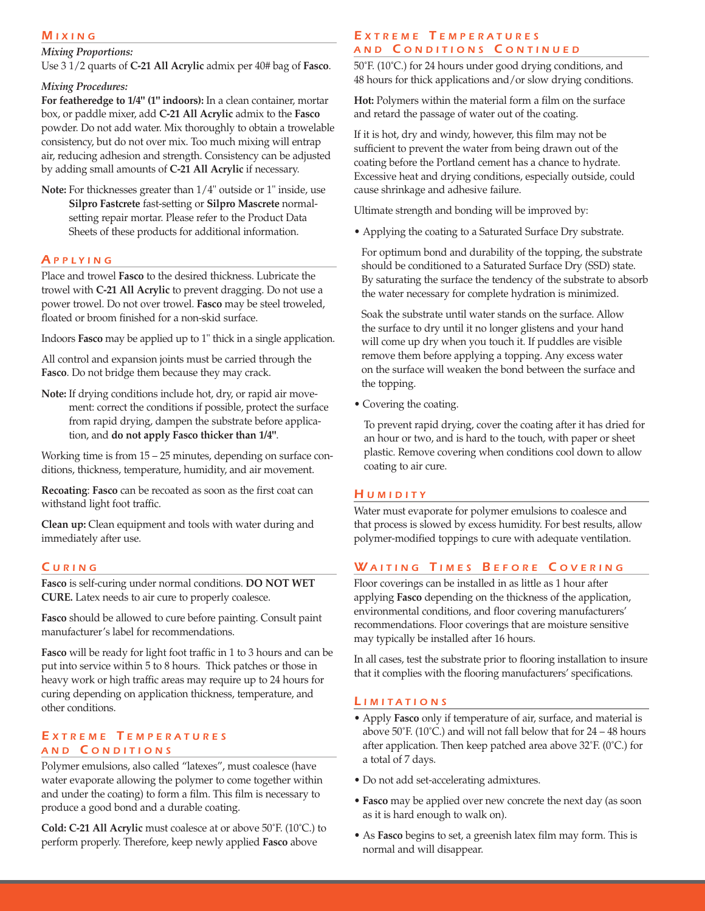#### *M I X I N G*

#### *Mixing Proportions:*

Use 3 1/2 quarts of **C-21 All Acrylic** admix per 40# bag of **Fasco**.

#### *Mixing Procedures:*

**For featheredge to 1/4" (1" indoors):** In a clean container, mortar box, or paddle mixer, add **C-21 All Acrylic** admix to the **Fasco** powder. Do not add water. Mix thoroughly to obtain a trowelable consistency, but do not over mix. Too much mixing will entrap air, reducing adhesion and strength. Consistency can be adjusted by adding small amounts of **C-21 All Acrylic** if necessary.

**Note:** For thicknesses greater than 1/4" outside or 1" inside, use **Silpro Fastcrete** fast-setting or **Silpro Mascrete** normalsetting repair mortar. Please refer to the Product Data Sheets of these products for additional information.

#### *A P P L Y I N G*

Place and trowel **Fasco** to the desired thickness. Lubricate the trowel with **C-21 All Acrylic** to prevent dragging. Do not use a power trowel. Do not over trowel. **Fasco** may be steel troweled, floated or broom finished for a non-skid surface.

Indoors **Fasco** may be applied up to 1" thick in a single application.

All control and expansion joints must be carried through the **Fasco**. Do not bridge them because they may crack.

**Note:** If drying conditions include hot, dry, or rapid air movement: correct the conditions if possible, protect the surface from rapid drying, dampen the substrate before application, and **do not apply Fasco thicker than 1/4"**.

Working time is from 15 – 25 minutes, depending on surface conditions, thickness, temperature, humidity, and air movement.

**Recoating**: **Fasco** can be recoated as soon as the first coat can withstand light foot traffic.

**Clean up:** Clean equipment and tools with water during and immediately after use.

### *C U R I N G*

**Fasco** is self-curing under normal conditions. **DO NOT WET CURE.** Latex needs to air cure to properly coalesce.

**Fasco** should be allowed to cure before painting. Consult paint manufacturer's label for recommendations.

**Fasco** will be ready for light foot traffic in 1 to 3 hours and can be put into service within 5 to 8 hours. Thick patches or those in heavy work or high traffic areas may require up to 24 hours for curing depending on application thickness, temperature, and other conditions.

### *E X T R E M E T E M P E R A T U R E S A N D C O N D I T I O N S*

Polymer emulsions, also called "latexes", must coalesce (have water evaporate allowing the polymer to come together within and under the coating) to form a film. This film is necessary to produce a good bond and a durable coating.

**Cold: C-21 All Acrylic** must coalesce at or above 50˚F. (10˚C.) to perform properly. Therefore, keep newly applied **Fasco** above

#### *E X T R E M E T E M P E R A T U R E S A N D C O N D I T I O N S C O N T I N U E D*

50˚F. (10˚C.) for 24 hours under good drying conditions, and 48 hours for thick applications and/or slow drying conditions.

**Hot:** Polymers within the material form a film on the surface and retard the passage of water out of the coating.

If it is hot, dry and windy, however, this film may not be sufficient to prevent the water from being drawn out of the coating before the Portland cement has a chance to hydrate. Excessive heat and drying conditions, especially outside, could cause shrinkage and adhesive failure.

Ultimate strength and bonding will be improved by:

• Applying the coating to a Saturated Surface Dry substrate.

For optimum bond and durability of the topping, the substrate should be conditioned to a Saturated Surface Dry (SSD) state. By saturating the surface the tendency of the substrate to absorb the water necessary for complete hydration is minimized.

Soak the substrate until water stands on the surface. Allow the surface to dry until it no longer glistens and your hand will come up dry when you touch it. If puddles are visible remove them before applying a topping. Any excess water on the surface will weaken the bond between the surface and the topping.

• Covering the coating.

To prevent rapid drying, cover the coating after it has dried for an hour or two, and is hard to the touch, with paper or sheet plastic. Remove covering when conditions cool down to allow coating to air cure.

### *H U M I D I T Y*

Water must evaporate for polymer emulsions to coalesce and that process is slowed by excess humidity. For best results, allow polymer-modified toppings to cure with adequate ventilation.

# WAITING TIMES BEFORE COVERING

Floor coverings can be installed in as little as 1 hour after applying **Fasco** depending on the thickness of the application, environmental conditions, and floor covering manufacturers' recommendations. Floor coverings that are moisture sensitive may typically be installed after 16 hours.

In all cases, test the substrate prior to flooring installation to insure that it complies with the flooring manufacturers' specifications.

### *L I M I T A T I O N S*

- Apply **Fasco** only if temperature of air, surface, and material is above  $50^{\circ}$ F. (10 $^{\circ}$ C.) and will not fall below that for 24 – 48 hours after application. Then keep patched area above 32˚F. (0˚C.) for a total of 7 days.
- Do not add set-accelerating admixtures.
- **Fasco** may be applied over new concrete the next day (as soon as it is hard enough to walk on).
- As **Fasco** begins to set, a greenish latex film may form. This is normal and will disappear.